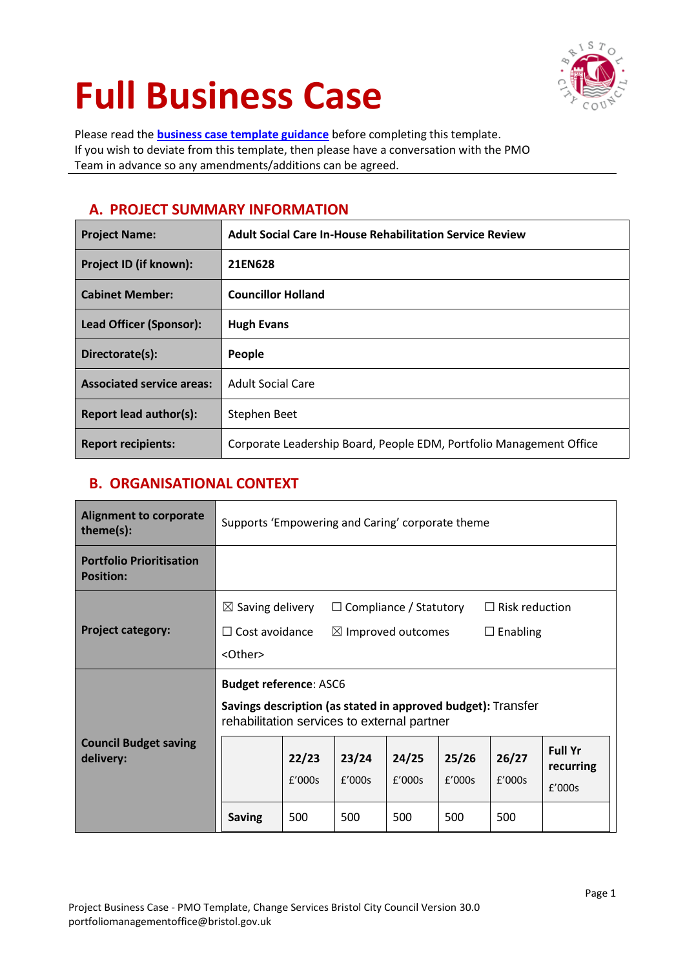# **Full Business Case**



Please read the **[business case template guidance](https://bristolcouncil.sharepoint.com/sites/templates/Shared%20Documents/09%20Bus%20Case%20Templates%20and%20resourcing%20cost%20guidance/00%20Business%20Case%20Template%20Guidance.docx)** before completing this template. If you wish to deviate from this template, then please have a conversation with the PMO Team in advance so any amendments/additions can be agreed.

# **A. PROJECT SUMMARY INFORMATION**

| <b>Project Name:</b>             | <b>Adult Social Care In-House Rehabilitation Service Review</b>     |
|----------------------------------|---------------------------------------------------------------------|
| Project ID (if known):           | 21EN628                                                             |
| <b>Cabinet Member:</b>           | <b>Councillor Holland</b>                                           |
| Lead Officer (Sponsor):          | <b>Hugh Evans</b>                                                   |
| Directorate(s):                  | People                                                              |
| <b>Associated service areas:</b> | <b>Adult Social Care</b>                                            |
| Report lead author(s):           | Stephen Beet                                                        |
| <b>Report recipients:</b>        | Corporate Leadership Board, People EDM, Portfolio Management Office |

# **B. ORGANISATIONAL CONTEXT**

| Alignment to corporate<br>theme(s):                 | Supports 'Empowering and Caring' corporate theme                                                                                             |                                                                                                                                                                    |     |     |     |     |                                       |
|-----------------------------------------------------|----------------------------------------------------------------------------------------------------------------------------------------------|--------------------------------------------------------------------------------------------------------------------------------------------------------------------|-----|-----|-----|-----|---------------------------------------|
| <b>Portfolio Prioritisation</b><br><b>Position:</b> |                                                                                                                                              |                                                                                                                                                                    |     |     |     |     |                                       |
| <b>Project category:</b>                            | <other></other>                                                                                                                              | $\boxtimes$ Saving delivery<br>$\Box$ Compliance / Statutory<br>$\Box$ Risk reduction<br>$\Box$ Cost avoidance<br>$\boxtimes$ Improved outcomes<br>$\Box$ Enabling |     |     |     |     |                                       |
|                                                     | <b>Budget reference: ASC6</b><br>Savings description (as stated in approved budget): Transfer<br>rehabilitation services to external partner |                                                                                                                                                                    |     |     |     |     |                                       |
| <b>Council Budget saving</b><br>delivery:           | 26/27<br>24/25<br>22/23<br>23/24<br>25/26<br>f'000s<br>f'000s<br>f'000s<br>f'000s<br>f'000s                                                  |                                                                                                                                                                    |     |     |     |     | <b>Full Yr</b><br>recurring<br>f'000s |
|                                                     | <b>Saving</b>                                                                                                                                | 500                                                                                                                                                                | 500 | 500 | 500 | 500 |                                       |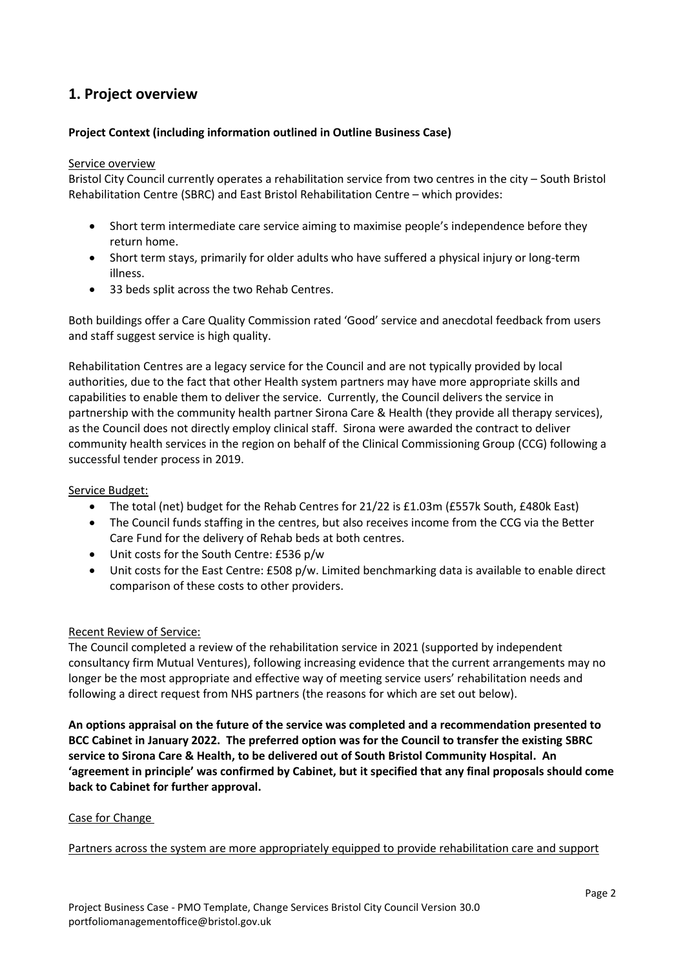# **1. Project overview**

#### **Project Context (including information outlined in Outline Business Case)**

#### Service overview

Bristol City Council currently operates a rehabilitation service from two centres in the city – South Bristol Rehabilitation Centre (SBRC) and East Bristol Rehabilitation Centre – which provides:

- Short term intermediate care service aiming to maximise people's independence before they return home.
- Short term stays, primarily for older adults who have suffered a physical injury or long-term illness.
- 33 beds split across the two Rehab Centres.

Both buildings offer a Care Quality Commission rated 'Good' service and anecdotal feedback from users and staff suggest service is high quality.

Rehabilitation Centres are a legacy service for the Council and are not typically provided by local authorities, due to the fact that other Health system partners may have more appropriate skills and capabilities to enable them to deliver the service. Currently, the Council delivers the service in partnership with the community health partner Sirona Care & Health (they provide all therapy services), as the Council does not directly employ clinical staff. Sirona were awarded the contract to deliver community health services in the region on behalf of the Clinical Commissioning Group (CCG) following a successful tender process in 2019.

#### Service Budget:

- The total (net) budget for the Rehab Centres for 21/22 is £1.03m (£557k South, £480k East)
- The Council funds staffing in the centres, but also receives income from the CCG via the Better Care Fund for the delivery of Rehab beds at both centres.
- Unit costs for the South Centre: £536 p/w
- Unit costs for the East Centre: £508 p/w. Limited benchmarking data is available to enable direct comparison of these costs to other providers.

#### Recent Review of Service:

The Council completed a review of the rehabilitation service in 2021 (supported by independent consultancy firm Mutual Ventures), following increasing evidence that the current arrangements may no longer be the most appropriate and effective way of meeting service users' rehabilitation needs and following a direct request from NHS partners (the reasons for which are set out below).

**An options appraisal on the future of the service was completed and a recommendation presented to BCC Cabinet in January 2022. The preferred option was for the Council to transfer the existing SBRC service to Sirona Care & Health, to be delivered out of South Bristol Community Hospital. An 'agreement in principle' was confirmed by Cabinet, but it specified that any final proposals should come back to Cabinet for further approval.** 

#### Case for Change

Partners across the system are more appropriately equipped to provide rehabilitation care and support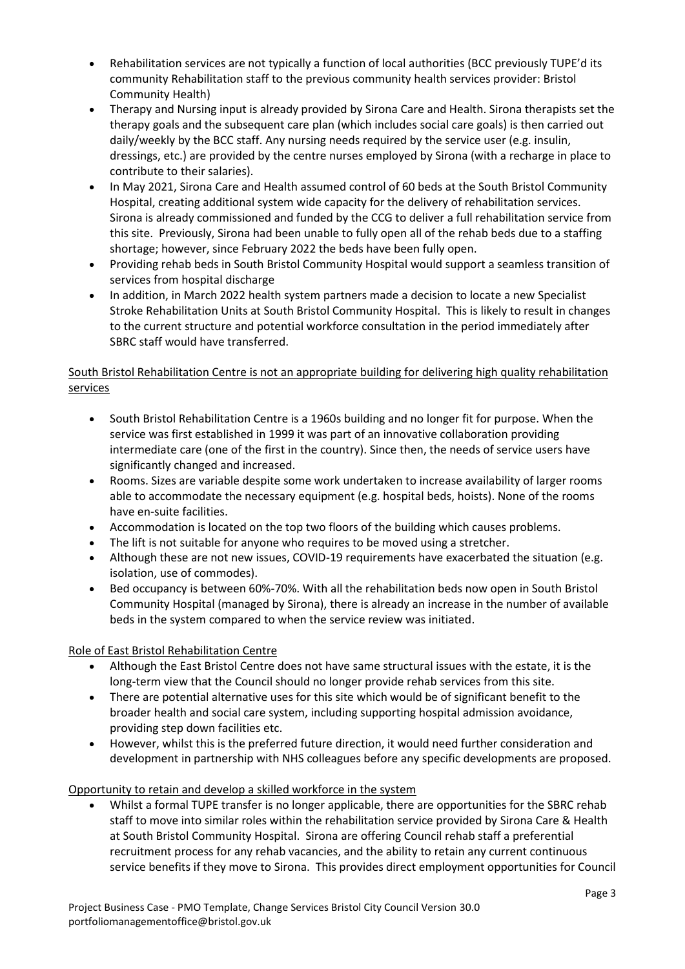- Rehabilitation services are not typically a function of local authorities (BCC previously TUPE'd its community Rehabilitation staff to the previous community health services provider: Bristol Community Health)
- Therapy and Nursing input is already provided by Sirona Care and Health. Sirona therapists set the therapy goals and the subsequent care plan (which includes social care goals) is then carried out daily/weekly by the BCC staff. Any nursing needs required by the service user (e.g. insulin, dressings, etc.) are provided by the centre nurses employed by Sirona (with a recharge in place to contribute to their salaries).
- In May 2021, Sirona Care and Health assumed control of 60 beds at the South Bristol Community Hospital, creating additional system wide capacity for the delivery of rehabilitation services. Sirona is already commissioned and funded by the CCG to deliver a full rehabilitation service from this site. Previously, Sirona had been unable to fully open all of the rehab beds due to a staffing shortage; however, since February 2022 the beds have been fully open.
- Providing rehab beds in South Bristol Community Hospital would support a seamless transition of services from hospital discharge
- In addition, in March 2022 health system partners made a decision to locate a new Specialist Stroke Rehabilitation Units at South Bristol Community Hospital. This is likely to result in changes to the current structure and potential workforce consultation in the period immediately after SBRC staff would have transferred.

## South Bristol Rehabilitation Centre is not an appropriate building for delivering high quality rehabilitation services

- South Bristol Rehabilitation Centre is a 1960s building and no longer fit for purpose. When the service was first established in 1999 it was part of an innovative collaboration providing intermediate care (one of the first in the country). Since then, the needs of service users have significantly changed and increased.
- Rooms. Sizes are variable despite some work undertaken to increase availability of larger rooms able to accommodate the necessary equipment (e.g. hospital beds, hoists). None of the rooms have en-suite facilities.
- Accommodation is located on the top two floors of the building which causes problems.
- The lift is not suitable for anyone who requires to be moved using a stretcher.
- Although these are not new issues, COVID-19 requirements have exacerbated the situation (e.g. isolation, use of commodes).
- Bed occupancy is between 60%-70%. With all the rehabilitation beds now open in South Bristol Community Hospital (managed by Sirona), there is already an increase in the number of available beds in the system compared to when the service review was initiated.

## Role of East Bristol Rehabilitation Centre

- Although the East Bristol Centre does not have same structural issues with the estate, it is the long-term view that the Council should no longer provide rehab services from this site.
- There are potential alternative uses for this site which would be of significant benefit to the broader health and social care system, including supporting hospital admission avoidance, providing step down facilities etc.
- However, whilst this is the preferred future direction, it would need further consideration and development in partnership with NHS colleagues before any specific developments are proposed.

## Opportunity to retain and develop a skilled workforce in the system

 Whilst a formal TUPE transfer is no longer applicable, there are opportunities for the SBRC rehab staff to move into similar roles within the rehabilitation service provided by Sirona Care & Health at South Bristol Community Hospital. Sirona are offering Council rehab staff a preferential recruitment process for any rehab vacancies, and the ability to retain any current continuous service benefits if they move to Sirona. This provides direct employment opportunities for Council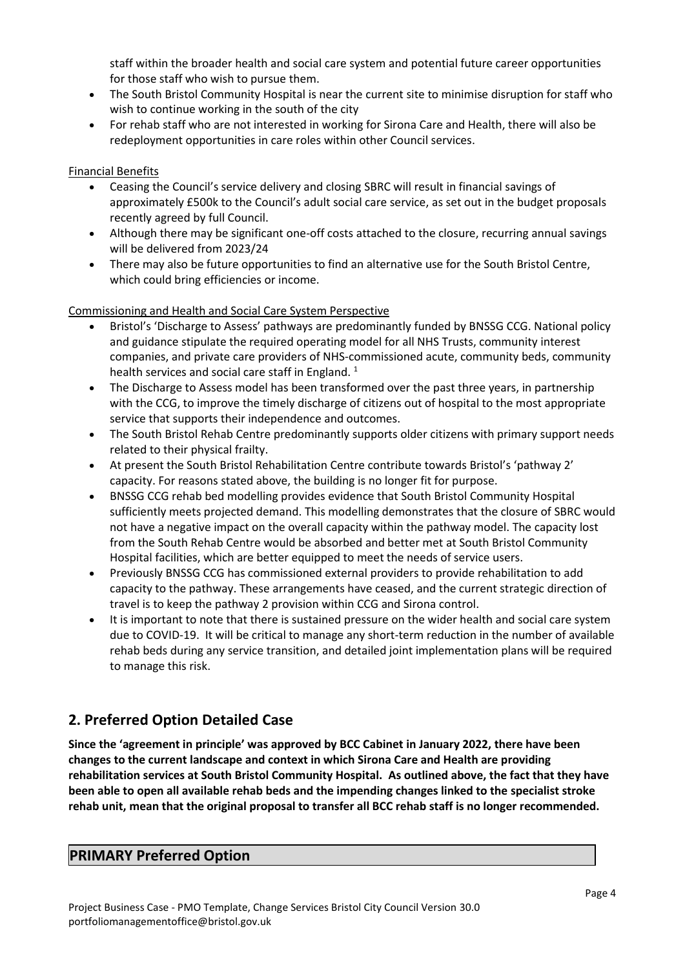staff within the broader health and social care system and potential future career opportunities for those staff who wish to pursue them.

- The South Bristol Community Hospital is near the current site to minimise disruption for staff who wish to continue working in the south of the city
- For rehab staff who are not interested in working for Sirona Care and Health, there will also be redeployment opportunities in care roles within other Council services.

#### Financial Benefits

- Ceasing the Council's service delivery and closing SBRC will result in financial savings of approximately £500k to the Council's adult social care service, as set out in the budget proposals recently agreed by full Council.
- Although there may be significant one-off costs attached to the closure, recurring annual savings will be delivered from 2023/24
- There may also be future opportunities to find an alternative use for the South Bristol Centre, which could bring efficiencies or income.

#### Commissioning and Health and Social Care System Perspective

- Bristol's 'Discharge to Assess' pathways are predominantly funded by BNSSG CCG. National policy and guidance stipulate the required operating model for all NHS Trusts, community interest companies, and private care providers of NHS-commissioned acute, community beds, community health services and social care staff in England.  $1$
- The Discharge to Assess model has been transformed over the past three years, in partnership with the CCG, to improve the timely discharge of citizens out of hospital to the most appropriate service that supports their independence and outcomes.
- The South Bristol Rehab Centre predominantly supports older citizens with primary support needs related to their physical frailty.
- At present the South Bristol Rehabilitation Centre contribute towards Bristol's 'pathway 2' capacity. For reasons stated above, the building is no longer fit for purpose.
- BNSSG CCG rehab bed modelling provides evidence that South Bristol Community Hospital sufficiently meets projected demand. This modelling demonstrates that the closure of SBRC would not have a negative impact on the overall capacity within the pathway model. The capacity lost from the South Rehab Centre would be absorbed and better met at South Bristol Community Hospital facilities, which are better equipped to meet the needs of service users.
- Previously BNSSG CCG has commissioned external providers to provide rehabilitation to add capacity to the pathway. These arrangements have ceased, and the current strategic direction of travel is to keep the pathway 2 provision within CCG and Sirona control.
- It is important to note that there is sustained pressure on the wider health and social care system due to COVID-19. It will be critical to manage any short-term reduction in the number of available rehab beds during any service transition, and detailed joint implementation plans will be required to manage this risk.

# **2. Preferred Option Detailed Case**

**Since the 'agreement in principle' was approved by BCC Cabinet in January 2022, there have been changes to the current landscape and context in which Sirona Care and Health are providing rehabilitation services at South Bristol Community Hospital. As outlined above, the fact that they have been able to open all available rehab beds and the impending changes linked to the specialist stroke rehab unit, mean that the original proposal to transfer all BCC rehab staff is no longer recommended.**

## **PRIMARY Preferred Option**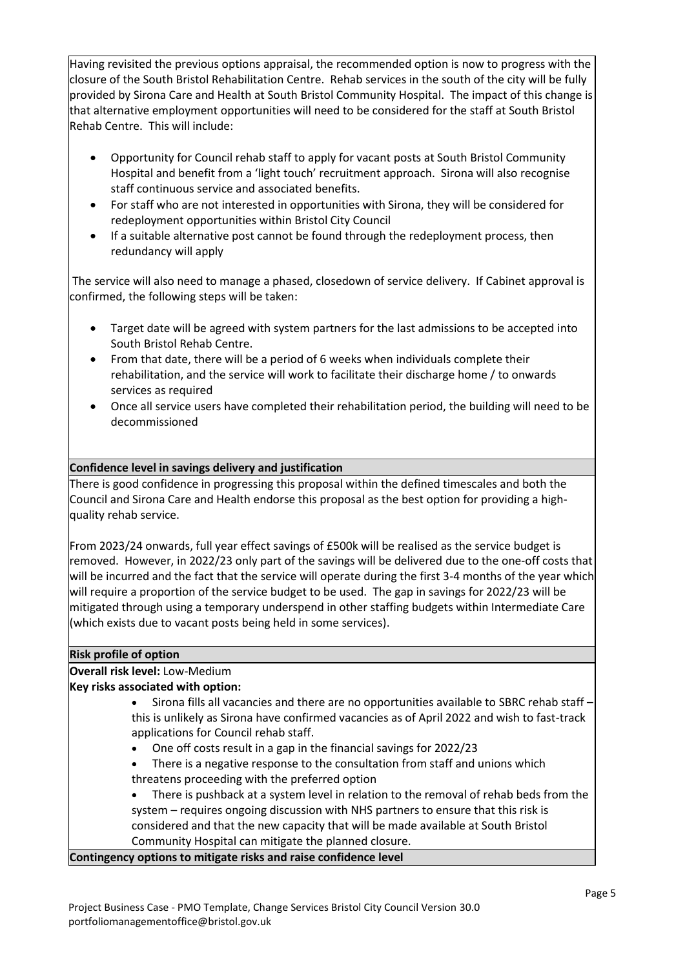Having revisited the previous options appraisal, the recommended option is now to progress with the closure of the South Bristol Rehabilitation Centre. Rehab services in the south of the city will be fully provided by Sirona Care and Health at South Bristol Community Hospital. The impact of this change is that alternative employment opportunities will need to be considered for the staff at South Bristol Rehab Centre. This will include:

- Opportunity for Council rehab staff to apply for vacant posts at South Bristol Community Hospital and benefit from a 'light touch' recruitment approach. Sirona will also recognise staff continuous service and associated benefits.
- For staff who are not interested in opportunities with Sirona, they will be considered for redeployment opportunities within Bristol City Council
- If a suitable alternative post cannot be found through the redeployment process, then redundancy will apply

The service will also need to manage a phased, closedown of service delivery. If Cabinet approval is confirmed, the following steps will be taken:

- Target date will be agreed with system partners for the last admissions to be accepted into South Bristol Rehab Centre.
- From that date, there will be a period of 6 weeks when individuals complete their rehabilitation, and the service will work to facilitate their discharge home / to onwards services as required
- Once all service users have completed their rehabilitation period, the building will need to be decommissioned

## **Confidence level in savings delivery and justification**

There is good confidence in progressing this proposal within the defined timescales and both the Council and Sirona Care and Health endorse this proposal as the best option for providing a highquality rehab service.

From 2023/24 onwards, full year effect savings of £500k will be realised as the service budget is removed. However, in 2022/23 only part of the savings will be delivered due to the one-off costs that will be incurred and the fact that the service will operate during the first 3-4 months of the year which will require a proportion of the service budget to be used. The gap in savings for 2022/23 will be mitigated through using a temporary underspend in other staffing budgets within Intermediate Care (which exists due to vacant posts being held in some services).

#### **Risk profile of option**

## **Overall risk level:** Low-Medium

## **Key risks associated with option:**

- Sirona fills all vacancies and there are no opportunities available to SBRC rehab staff this is unlikely as Sirona have confirmed vacancies as of April 2022 and wish to fast-track applications for Council rehab staff.
- One off costs result in a gap in the financial savings for 2022/23
- There is a negative response to the consultation from staff and unions which threatens proceeding with the preferred option

 There is pushback at a system level in relation to the removal of rehab beds from the system – requires ongoing discussion with NHS partners to ensure that this risk is considered and that the new capacity that will be made available at South Bristol Community Hospital can mitigate the planned closure.

#### **Contingency options to mitigate risks and raise confidence level**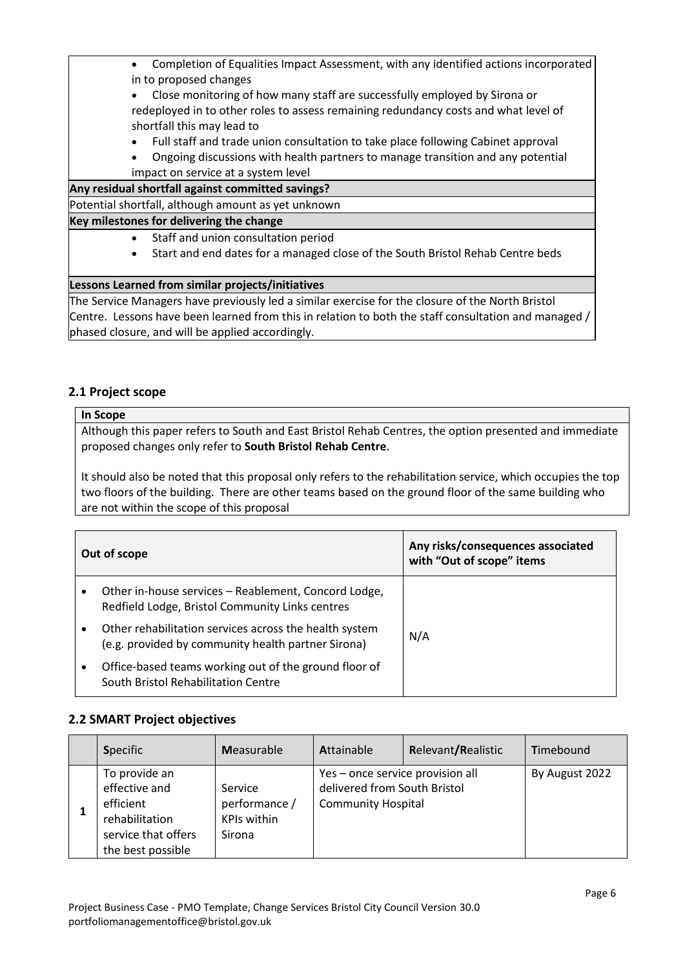- Completion of Equalities Impact Assessment, with any identified actions incorporated in to proposed changes
- Close monitoring of how many staff are successfully employed by Sirona or redeployed in to other roles to assess remaining redundancy costs and what level of shortfall this may lead to
- Full staff and trade union consultation to take place following Cabinet approval
- Ongoing discussions with health partners to manage transition and any potential impact on service at a system level

#### **Any residual shortfall against committed savings?**

Potential shortfall, although amount as yet unknown

#### **Key milestones for delivering the change**

- Staff and union consultation period
- Start and end dates for a managed close of the South Bristol Rehab Centre beds

#### **Lessons Learned from similar projects/initiatives**

The Service Managers have previously led a similar exercise for the closure of the North Bristol Centre. Lessons have been learned from this in relation to both the staff consultation and managed / phased closure, and will be applied accordingly.

## **2.1 Project scope**

#### **In Scope**

Although this paper refers to South and East Bristol Rehab Centres, the option presented and immediate proposed changes only refer to **South Bristol Rehab Centre**.

It should also be noted that this proposal only refers to the rehabilitation service, which occupies the top two floors of the building. There are other teams based on the ground floor of the same building who are not within the scope of this proposal

| Out of scope |                                                                                                              | Any risks/consequences associated<br>with "Out of scope" items |
|--------------|--------------------------------------------------------------------------------------------------------------|----------------------------------------------------------------|
| $\bullet$    | Other in-house services - Reablement, Concord Lodge,<br>Redfield Lodge, Bristol Community Links centres      |                                                                |
| ٠            | Other rehabilitation services across the health system<br>(e.g. provided by community health partner Sirona) | N/A                                                            |
| ٠            | Office-based teams working out of the ground floor of<br>South Bristol Rehabilitation Centre                 |                                                                |

## **2.2 SMART Project objectives**

| <b>Specific</b>                                                                                           | <b>Measurable</b>                                        | Attainable                                                                                    | Relevant/Realistic | Timebound      |
|-----------------------------------------------------------------------------------------------------------|----------------------------------------------------------|-----------------------------------------------------------------------------------------------|--------------------|----------------|
| To provide an<br>effective and<br>efficient<br>rehabilitation<br>service that offers<br>the best possible | Service<br>performance /<br><b>KPIs within</b><br>Sirona | Yes - once service provision all<br>delivered from South Bristol<br><b>Community Hospital</b> |                    | By August 2022 |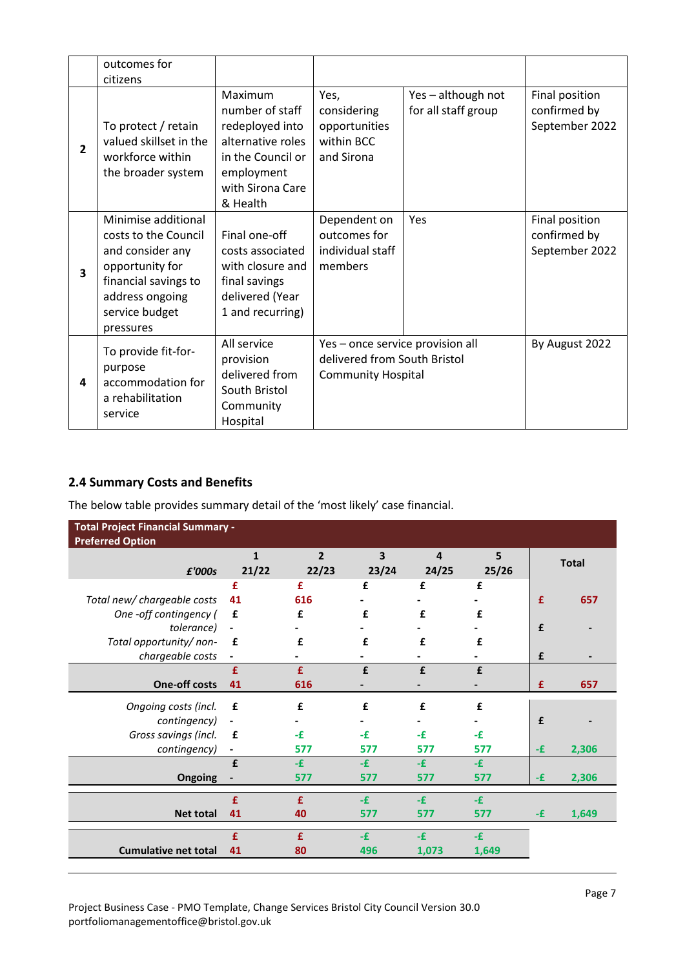|                | outcomes for<br>citizens                                                                                                                                     |                                                                                                                                       |                                                                                               |                                           |                                                  |
|----------------|--------------------------------------------------------------------------------------------------------------------------------------------------------------|---------------------------------------------------------------------------------------------------------------------------------------|-----------------------------------------------------------------------------------------------|-------------------------------------------|--------------------------------------------------|
| $\overline{2}$ | To protect / retain<br>valued skillset in the<br>workforce within<br>the broader system                                                                      | Maximum<br>number of staff<br>redeployed into<br>alternative roles<br>in the Council or<br>employment<br>with Sirona Care<br>& Health | Yes,<br>considering<br>opportunities<br>within BCC<br>and Sirona                              | Yes - although not<br>for all staff group | Final position<br>confirmed by<br>September 2022 |
| 3              | Minimise additional<br>costs to the Council<br>and consider any<br>opportunity for<br>financial savings to<br>address ongoing<br>service budget<br>pressures | Final one-off<br>costs associated<br>with closure and<br>final savings<br>delivered (Year<br>1 and recurring)                         | Dependent on<br>outcomes for<br>individual staff<br>members                                   | Yes                                       | Final position<br>confirmed by<br>September 2022 |
| 4              | To provide fit-for-<br>purpose<br>accommodation for<br>a rehabilitation<br>service                                                                           | All service<br>provision<br>delivered from<br>South Bristol<br>Community<br>Hospital                                                  | Yes - once service provision all<br>delivered from South Bristol<br><b>Community Hospital</b> |                                           | By August 2022                                   |

## **2.4 Summary Costs and Benefits**

The below table provides summary detail of the 'most likely' case financial.

| <b>Total Project Financial Summary -</b><br><b>Preferred Option</b> |                              |                |                         |       |                              |    |              |
|---------------------------------------------------------------------|------------------------------|----------------|-------------------------|-------|------------------------------|----|--------------|
|                                                                     | $\mathbf{1}$                 | $\overline{2}$ | $\overline{\mathbf{3}}$ | 4     | 5                            |    | <b>Total</b> |
| £'000s                                                              | 21/22                        | 22/23          | 23/24                   | 24/25 | 25/26                        |    |              |
|                                                                     | £                            | £              | £                       | £     | £                            |    |              |
| Total new/ chargeable costs                                         | 41                           | 616            |                         |       |                              | £  | 657          |
| One -off contingency (                                              | £                            | £              | £                       | £     | £                            |    |              |
| tolerance)                                                          | $\qquad \qquad \blacksquare$ |                |                         |       |                              | £  |              |
| Total opportunity/non-                                              | £                            | £              | £                       | £     | £                            |    |              |
| chargeable costs                                                    | $\blacksquare$               |                |                         |       |                              | £  |              |
|                                                                     | £                            | £              | £                       | £     | £                            |    |              |
| <b>One-off costs</b>                                                | 41                           | 616            | -                       |       | $\qquad \qquad \blacksquare$ | £  | 657          |
| Ongoing costs (incl.                                                | £                            | £              | £                       | £     | £                            |    |              |
| contingency)                                                        | $\qquad \qquad \blacksquare$ |                |                         |       |                              | £  |              |
| Gross savings (incl.                                                | £                            | -£             | -£                      | -£    | -£                           |    |              |
| contingency)                                                        | $\blacksquare$               | 577            | 577                     | 577   | 577                          | -£ | 2,306        |
|                                                                     | £                            | $-E$           | -£                      | $-E$  | $-E$                         |    |              |
| Ongoing                                                             |                              | 577            | 577                     | 577   | 577                          | -£ | 2,306        |
|                                                                     |                              |                |                         |       |                              |    |              |
|                                                                     | £                            | £              | $-E$                    | -£    | $-E$                         |    |              |
| <b>Net total</b>                                                    | 41                           | 40             | 577                     | 577   | 577                          | -£ | 1,649        |
|                                                                     | £                            | £              | -£                      | -£    | $-E$                         |    |              |
| <b>Cumulative net total</b>                                         | 41                           | 80             | 496                     | 1,073 | 1,649                        |    |              |
|                                                                     |                              |                |                         |       |                              |    |              |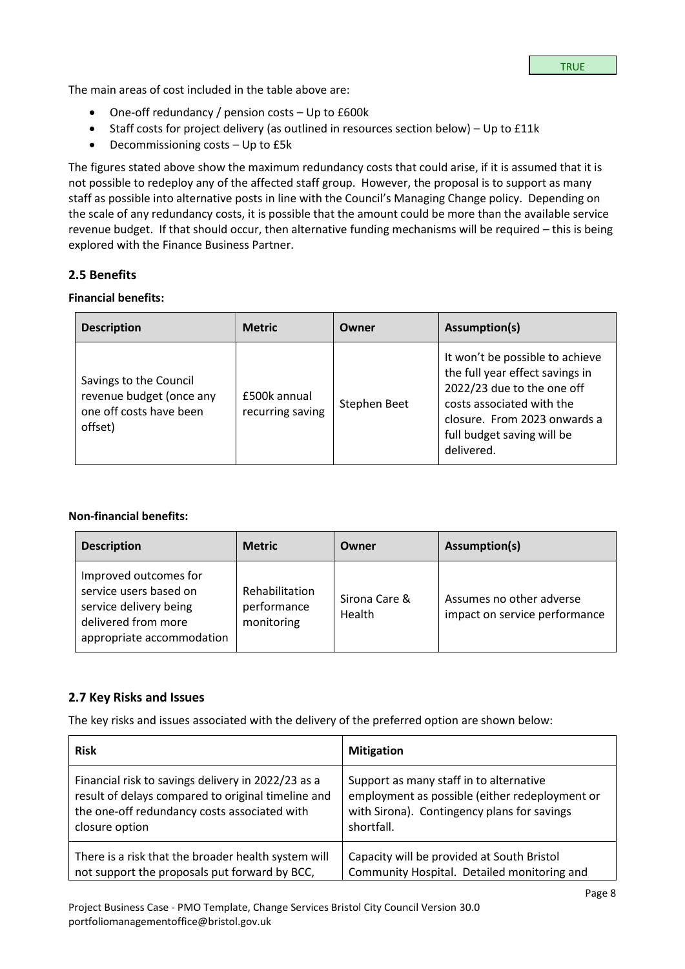The main areas of cost included in the table above are:

- One-off redundancy / pension costs Up to £600k
- $\bullet$  Staff costs for project delivery (as outlined in resources section below) Up to £11k
- Decommissioning costs Up to £5k

The figures stated above show the maximum redundancy costs that could arise, if it is assumed that it is not possible to redeploy any of the affected staff group. However, the proposal is to support as many staff as possible into alternative posts in line with the Council's Managing Change policy. Depending on the scale of any redundancy costs, it is possible that the amount could be more than the available service revenue budget. If that should occur, then alternative funding mechanisms will be required – this is being explored with the Finance Business Partner.

## **2.5 Benefits**

#### **Financial benefits:**

| <b>Description</b>                                                                       | <b>Metric</b>                    | Owner        | Assumption(s)                                                                                                                                                                                             |
|------------------------------------------------------------------------------------------|----------------------------------|--------------|-----------------------------------------------------------------------------------------------------------------------------------------------------------------------------------------------------------|
| Savings to the Council<br>revenue budget (once any<br>one off costs have been<br>offset) | £500k annual<br>recurring saving | Stephen Beet | It won't be possible to achieve<br>the full year effect savings in<br>2022/23 due to the one off<br>costs associated with the<br>closure. From 2023 onwards a<br>full budget saving will be<br>delivered. |

## **Non-financial benefits:**

| <b>Description</b>                                                                                                            | <b>Metric</b>                               | Owner                   | Assumption(s)                                             |
|-------------------------------------------------------------------------------------------------------------------------------|---------------------------------------------|-------------------------|-----------------------------------------------------------|
| Improved outcomes for<br>service users based on<br>service delivery being<br>delivered from more<br>appropriate accommodation | Rehabilitation<br>performance<br>monitoring | Sirona Care &<br>Health | Assumes no other adverse<br>impact on service performance |

## **2.7 Key Risks and Issues**

The key risks and issues associated with the delivery of the preferred option are shown below:

| <b>Risk</b>                                         | <b>Mitigation</b>                              |
|-----------------------------------------------------|------------------------------------------------|
| Financial risk to savings delivery in 2022/23 as a  | Support as many staff in to alternative        |
| result of delays compared to original timeline and  | employment as possible (either redeployment or |
| the one-off redundancy costs associated with        | with Sirona). Contingency plans for savings    |
| closure option                                      | shortfall.                                     |
| There is a risk that the broader health system will | Capacity will be provided at South Bristol     |
| not support the proposals put forward by BCC,       | Community Hospital. Detailed monitoring and    |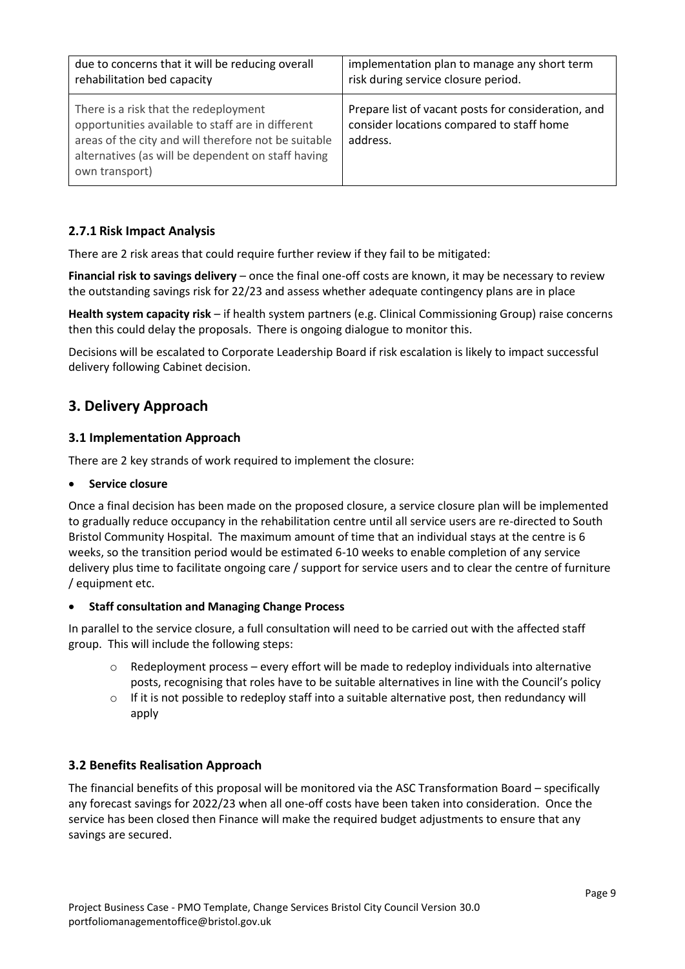| due to concerns that it will be reducing overall                                                                                                                                                                           | implementation plan to manage any short term                                                                 |
|----------------------------------------------------------------------------------------------------------------------------------------------------------------------------------------------------------------------------|--------------------------------------------------------------------------------------------------------------|
| rehabilitation bed capacity                                                                                                                                                                                                | risk during service closure period.                                                                          |
| There is a risk that the redeployment<br>opportunities available to staff are in different<br>areas of the city and will therefore not be suitable<br>alternatives (as will be dependent on staff having<br>own transport) | Prepare list of vacant posts for consideration, and<br>consider locations compared to staff home<br>address. |

## **2.7.1 Risk Impact Analysis**

There are 2 risk areas that could require further review if they fail to be mitigated:

**Financial risk to savings delivery** – once the final one-off costs are known, it may be necessary to review the outstanding savings risk for 22/23 and assess whether adequate contingency plans are in place

**Health system capacity risk** – if health system partners (e.g. Clinical Commissioning Group) raise concerns then this could delay the proposals. There is ongoing dialogue to monitor this.

Decisions will be escalated to Corporate Leadership Board if risk escalation is likely to impact successful delivery following Cabinet decision.

# **3. Delivery Approach**

## **3.1 Implementation Approach**

There are 2 key strands of work required to implement the closure:

#### **Service closure**

Once a final decision has been made on the proposed closure, a service closure plan will be implemented to gradually reduce occupancy in the rehabilitation centre until all service users are re-directed to South Bristol Community Hospital. The maximum amount of time that an individual stays at the centre is 6 weeks, so the transition period would be estimated 6-10 weeks to enable completion of any service delivery plus time to facilitate ongoing care / support for service users and to clear the centre of furniture / equipment etc.

## **Staff consultation and Managing Change Process**

In parallel to the service closure, a full consultation will need to be carried out with the affected staff group. This will include the following steps:

- $\circ$  Redeployment process every effort will be made to redeploy individuals into alternative posts, recognising that roles have to be suitable alternatives in line with the Council's policy
- $\circ$  If it is not possible to redeploy staff into a suitable alternative post, then redundancy will apply

## **3.2 Benefits Realisation Approach**

The financial benefits of this proposal will be monitored via the ASC Transformation Board – specifically any forecast savings for 2022/23 when all one-off costs have been taken into consideration. Once the service has been closed then Finance will make the required budget adjustments to ensure that any savings are secured.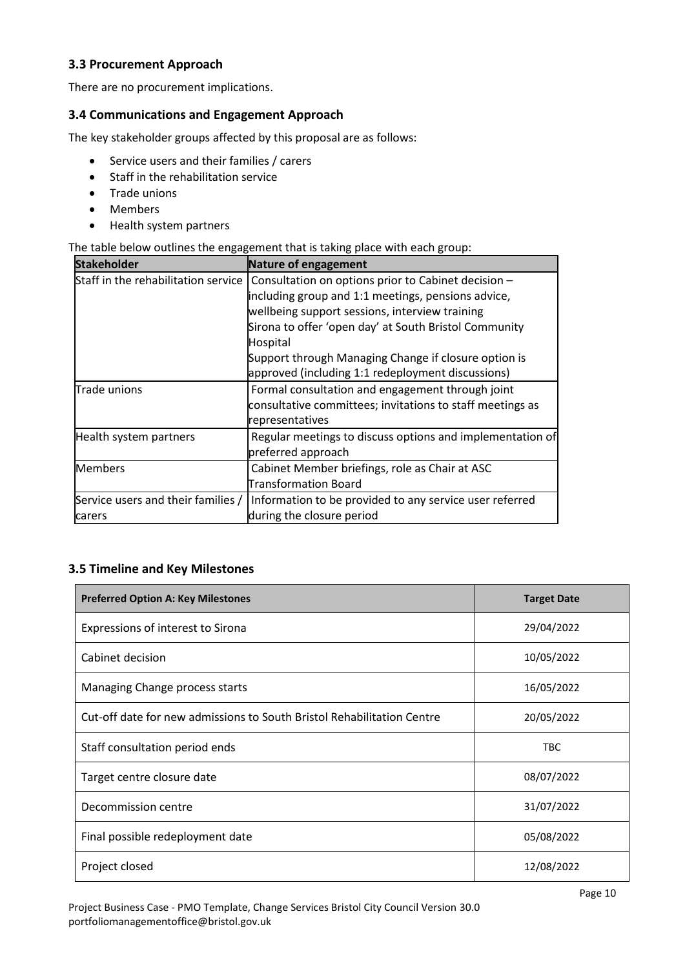## **3.3 Procurement Approach**

There are no procurement implications.

## **3.4 Communications and Engagement Approach**

The key stakeholder groups affected by this proposal are as follows:

- Service users and their families / carers
- Staff in the rehabilitation service
- Trade unions
- Members
- Health system partners

The table below outlines the engagement that is taking place with each group:

| <b>Stakeholder</b>                  | Nature of engagement                                      |
|-------------------------------------|-----------------------------------------------------------|
| Staff in the rehabilitation service | Consultation on options prior to Cabinet decision -       |
|                                     | including group and 1:1 meetings, pensions advice,        |
|                                     | wellbeing support sessions, interview training            |
|                                     | Sirona to offer 'open day' at South Bristol Community     |
|                                     | Hospital                                                  |
|                                     | Support through Managing Change if closure option is      |
|                                     | approved (including 1:1 redeployment discussions)         |
| Trade unions                        | Formal consultation and engagement through joint          |
|                                     | consultative committees; invitations to staff meetings as |
|                                     | representatives                                           |
| Health system partners              | Regular meetings to discuss options and implementation of |
|                                     | preferred approach                                        |
| <b>Members</b>                      | Cabinet Member briefings, role as Chair at ASC            |
|                                     | Transformation Board                                      |
| Service users and their families /  | Information to be provided to any service user referred   |
| carers                              | during the closure period                                 |

#### **3.5 Timeline and Key Milestones**

| <b>Preferred Option A: Key Milestones</b>                              | <b>Target Date</b> |
|------------------------------------------------------------------------|--------------------|
| Expressions of interest to Sirona                                      | 29/04/2022         |
| Cabinet decision                                                       | 10/05/2022         |
| Managing Change process starts                                         | 16/05/2022         |
| Cut-off date for new admissions to South Bristol Rehabilitation Centre | 20/05/2022         |
| Staff consultation period ends                                         | <b>TBC</b>         |
| Target centre closure date                                             | 08/07/2022         |
| Decommission centre                                                    | 31/07/2022         |
| Final possible redeployment date                                       | 05/08/2022         |
| Project closed                                                         | 12/08/2022         |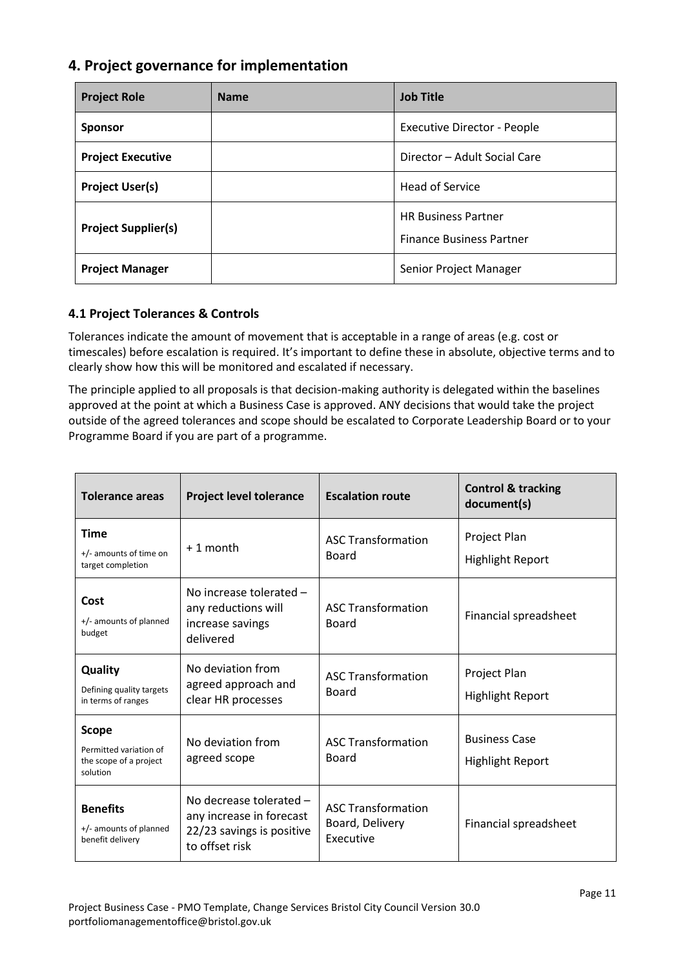# **4. Project governance for implementation**

| <b>Project Role</b>        | <b>Name</b> | <b>Job Title</b>                                              |
|----------------------------|-------------|---------------------------------------------------------------|
| <b>Sponsor</b>             |             | <b>Executive Director - People</b>                            |
| <b>Project Executive</b>   |             | Director - Adult Social Care                                  |
| <b>Project User(s)</b>     |             | <b>Head of Service</b>                                        |
| <b>Project Supplier(s)</b> |             | <b>HR Business Partner</b><br><b>Finance Business Partner</b> |
| <b>Project Manager</b>     |             | Senior Project Manager                                        |

## **4.1 Project Tolerances & Controls**

Tolerances indicate the amount of movement that is acceptable in a range of areas (e.g. cost or timescales) before escalation is required. It's important to define these in absolute, objective terms and to clearly show how this will be monitored and escalated if necessary.

The principle applied to all proposals is that decision-making authority is delegated within the baselines approved at the point at which a Business Case is approved. ANY decisions that would take the project outside of the agreed tolerances and scope should be escalated to Corporate Leadership Board or to your Programme Board if you are part of a programme.

| <b>Tolerance areas</b>                                                       | <b>Project level tolerance</b>                                                                     | <b>Escalation route</b>                                   | <b>Control &amp; tracking</b><br>document(s)    |  |
|------------------------------------------------------------------------------|----------------------------------------------------------------------------------------------------|-----------------------------------------------------------|-------------------------------------------------|--|
| <b>Time</b><br>+/- amounts of time on<br>target completion                   | +1 month                                                                                           | <b>ASC Transformation</b><br>Board                        | Project Plan<br><b>Highlight Report</b>         |  |
| Cost<br>+/- amounts of planned<br>budget                                     | No increase tolerated -<br>any reductions will<br>increase savings<br>delivered                    | <b>ASC Transformation</b><br>Board                        | Financial spreadsheet                           |  |
| Quality<br>Defining quality targets<br>in terms of ranges                    | No deviation from<br>agreed approach and<br>clear HR processes                                     | <b>ASC Transformation</b><br><b>Board</b>                 | Project Plan<br><b>Highlight Report</b>         |  |
| <b>Scope</b><br>Permitted variation of<br>the scope of a project<br>solution | No deviation from<br>agreed scope                                                                  | <b>ASC Transformation</b><br>Board                        | <b>Business Case</b><br><b>Highlight Report</b> |  |
| <b>Benefits</b><br>+/- amounts of planned<br>benefit delivery                | No decrease tolerated -<br>any increase in forecast<br>22/23 savings is positive<br>to offset risk | <b>ASC Transformation</b><br>Board, Delivery<br>Executive | Financial spreadsheet                           |  |